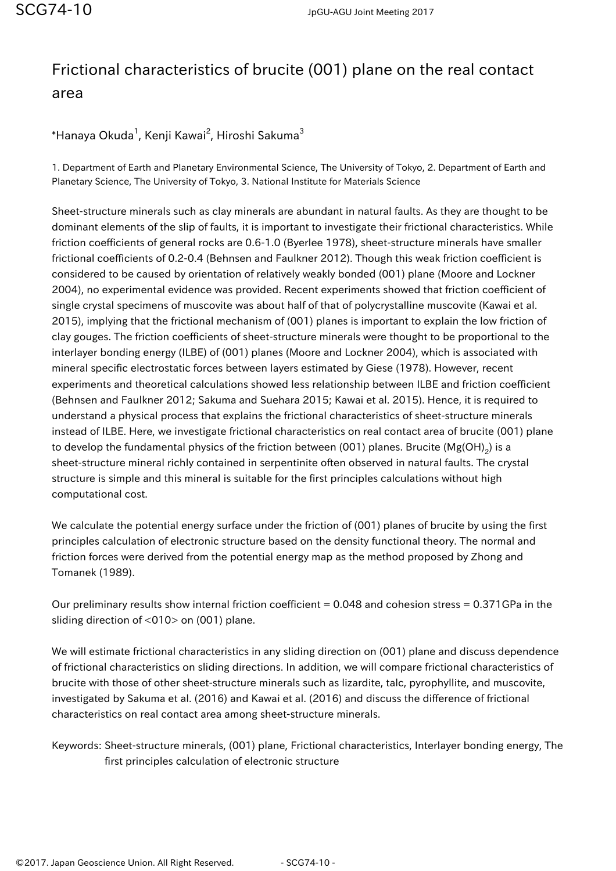## Frictional characteristics of brucite (001) plane on the real contact area

 $^*$ Hanaya Okuda $^1$ , Kenji Kawai $^2$ , Hiroshi Sakuma $^3$ 

1. Department of Earth and Planetary Environmental Science, The University of Tokyo, 2. Department of Earth and Planetary Science, The University of Tokyo, 3. National Institute for Materials Science

Sheet-structure minerals such as clay minerals are abundant in natural faults. As they are thought to be dominant elements of the slip of faults, it is important to investigate their frictional characteristics. While friction coefficients of general rocks are 0.6-1.0 (Byerlee 1978), sheet-structure minerals have smaller frictional coefficients of 0.2-0.4 (Behnsen and Faulkner 2012). Though this weak friction coefficient is considered to be caused by orientation of relatively weakly bonded (001) plane (Moore and Lockner 2004), no experimental evidence was provided. Recent experiments showed that friction coefficient of single crystal specimens of muscovite was about half of that of polycrystalline muscovite (Kawai et al. 2015), implying that the frictional mechanism of (001) planes is important to explain the low friction of clay gouges. The friction coefficients of sheet-structure minerals were thought to be proportional to the interlayer bonding energy (ILBE) of (001) planes (Moore and Lockner 2004), which is associated with mineral specific electrostatic forces between layers estimated by Giese (1978). However, recent experiments and theoretical calculations showed less relationship between ILBE and friction coefficient (Behnsen and Faulkner 2012; Sakuma and Suehara 2015; Kawai et al. 2015). Hence, it is required to understand a physical process that explains the frictional characteristics of sheet-structure minerals instead of ILBE. Here, we investigate frictional characteristics on real contact area of brucite (001) plane to develop the fundamental physics of the friction between (001) planes. Brucite (Mg(OH)<sub>2</sub>) is a sheet-structure mineral richly contained in serpentinite often observed in natural faults. The crystal structure is simple and this mineral is suitable for the first principles calculations without high computational cost.

We calculate the potential energy surface under the friction of (001) planes of brucite by using the first principles calculation of electronic structure based on the density functional theory. The normal and friction forces were derived from the potential energy map as the method proposed by Zhong and Tomanek (1989).

Our preliminary results show internal friction coefficient = 0.048 and cohesion stress = 0.371GPa in the sliding direction of <010> on (001) plane.

We will estimate frictional characteristics in any sliding direction on (001) plane and discuss dependence of frictional characteristics on sliding directions. In addition, we will compare frictional characteristics of brucite with those of other sheet-structure minerals such as lizardite, talc, pyrophyllite, and muscovite, investigated by Sakuma et al. (2016) and Kawai et al. (2016) and discuss the difference of frictional characteristics on real contact area among sheet-structure minerals.

Keywords: Sheet-structure minerals, (001) plane, Frictional characteristics, Interlayer bonding energy, The first principles calculation of electronic structure